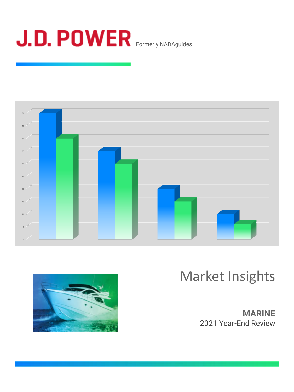





# Market Insights

**MARINE** 2021 Year-End Review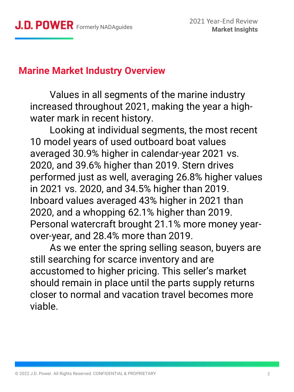### **Marine Market Industry Overview**

Values in all segments of the marine industry increased throughout 2021, making the year a highwater mark in recent history.

Looking at individual segments, the most recent 10 model years of used outboard boat values averaged 30.9% higher in calendar-year 2021 vs. 2020, and 39.6% higher than 2019. Stern drives performed just as well, averaging 26.8% higher values in 2021 vs. 2020, and 34.5% higher than 2019. Inboard values averaged 43% higher in 2021 than 2020, and a whopping 62.1% higher than 2019. Personal watercraft brought 21.1% more money yearover-year, and 28.4% more than 2019.

As we enter the spring selling season, buyers are still searching for scarce inventory and are accustomed to higher pricing. This seller's market should remain in place until the parts supply returns closer to normal and vacation travel becomes more viable.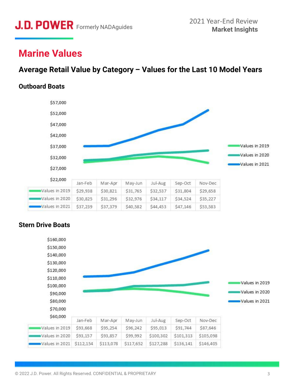## **Marine Values**

### **Average Retail Value by Category – Values for the Last 10 Model Years**

#### **Outboard Boats**



#### **Stern Drive Boats**

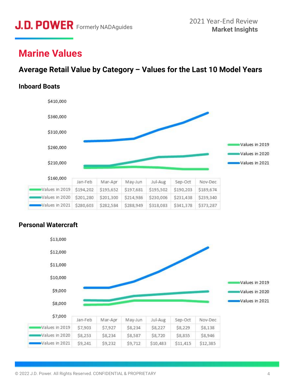## **Marine Values**

### **Average Retail Value by Category – Values for the Last 10 Model Years**

#### **Inboard Boats**



#### **Personal Watercraft**

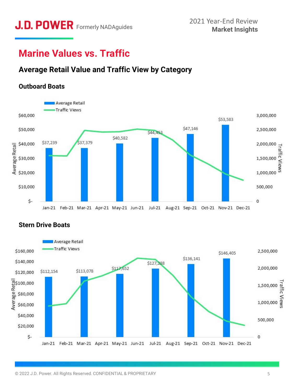## **Marine Values vs. Traffic**

### **Average Retail Value and Traffic View by Category**







#### **Stern Drive Boats**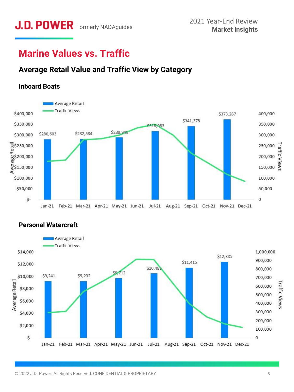# **J.D. POWER** Formerly NADAguides 2021 Year-End Review<br>Market Insights

## **Marine Values vs. Traffic**

### **Average Retail Value and Traffic View by Category**

### **Inboard Boats**





#### **Personal Watercraft**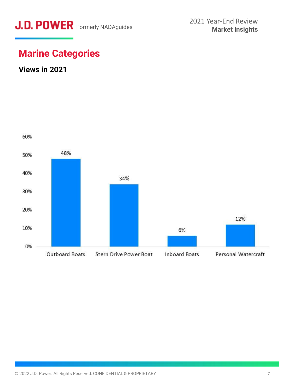

## **Marine Categories**

### **Views in 2021**

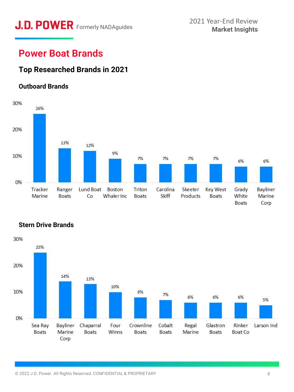# **J.D. POWER** Formerly NADAguides 2021 Year-End Review<br>Market Insights

## **Power Boat Brands**

### **Top Researched Brands in 2021**

#### **Outboard Brands**



#### **Stern Drive Brands**

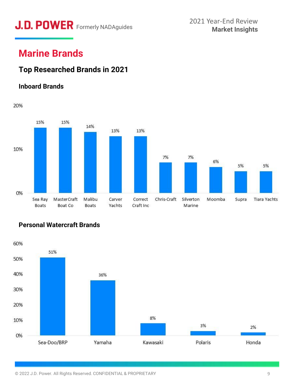# **J.D. POWER** Formerly NADAguides 2021 Year-End Review 2021 Year-End Review

## **Marine Brands**

### **Top Researched Brands in 2021**

#### **Inboard Brands**



#### **Personal Watercraft Brands**

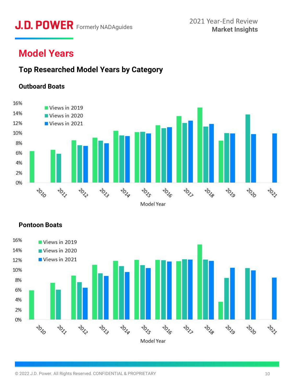# **J.D. POWER** Formerly NADAguides 2021 Year-End Review<br>Market Insights

# **Model Years**

### **Top Researched Model Years by Category**

#### **Outboard Boats**





#### **Pontoon Boats**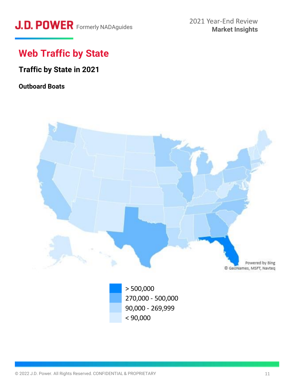# J.D. POWER Formerly NADAguides

# **Web Traffic by State**

### **Traffic by State in 2021**

### **Outboard Boats**

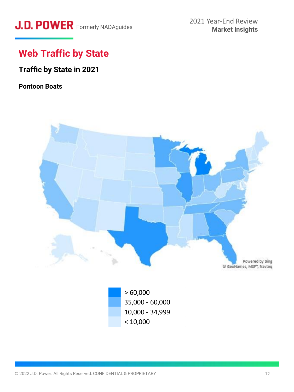# J.D. POWER Formerly NADAguides

# **Web Traffic by State**

### **Traffic by State in 2021**

#### **Pontoon Boats**



 $< 10,000$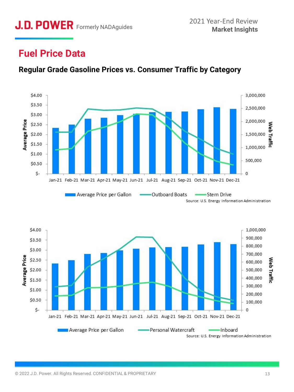## **Fuel Price Data**



**Regular Grade Gasoline Prices vs. Consumer Traffic by Category**

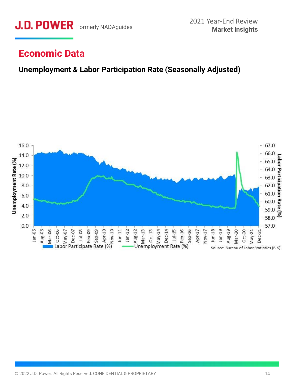

### **Economic Data**

### **Unemployment & Labor Participation Rate (Seasonally Adjusted)**